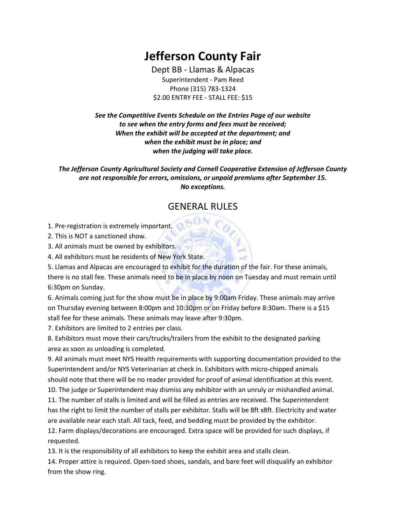# **Jefferson County Fair**

Dept BB - Llamas & Alpacas Superintendent - Pam Reed Phone (315) 783-1324 \$2.00 ENTRY FEE - STALL FEE: \$15

*See the Competitive Events Schedule on the Entries Page of our website to see when the entry forms and fees must be received; When the exhibit will be accepted at the department; and when the exhibit must be in place; and when the judging will take place.*

*The Jefferson County Agricultural Society and Cornell Cooperative Extension of Jefferson County are not responsible for errors, omissions, or unpaid premiums after September 15. No exceptions.*

#### GENERAL RULES

1. Pre-registration is extremely important.

2. This is NOT a sanctioned show.

3. All animals must be owned by exhibitors.

4. All exhibitors must be residents of New York State.

5. Llamas and Alpacas are encouraged to exhibit for the duration of the fair. For these animals, there is no stall fee. These animals need to be in place by noon on Tuesday and must remain until 6:30pm on Sunday.

6. Animals coming just for the show must be in place by 9:00am Friday. These animals may arrive on Thursday evening between 8:00pm and 10:30pm or on Friday before 8:30am. There is a \$15 stall fee for these animals. These animals may leave after 9:30pm.

7. Exhibitors are limited to 2 entries per class.

8. Exhibitors must move their cars/trucks/trailers from the exhibit to the designated parking area as soon as unloading is completed.

9. All animals must meet NYS Health requirements with supporting documentation provided to the Superintendent and/or NYS Veterinarian at check in. Exhibitors with micro-chipped animals should note that there will be no reader provided for proof of animal identification at this event.

10. The judge or Superintendent may dismiss any exhibitor with an unruly or mishandled animal. 11. The number of stalls is limited and will be filled as entries are received. The Superintendent

has the right to limit the number of stalls per exhibitor. Stalls will be 8ft x8ft. Electricity and water are available near each stall. All tack, feed, and bedding must be provided by the exhibitor.

12. Farm displays/decorations are encouraged. Extra space will be provided for such displays, if requested.

13. It is the responsibility of all exhibitors to keep the exhibit area and stalls clean.

14. Proper attire is required. Open-toed shoes, sandals, and bare feet will disqualify an exhibitor from the show ring.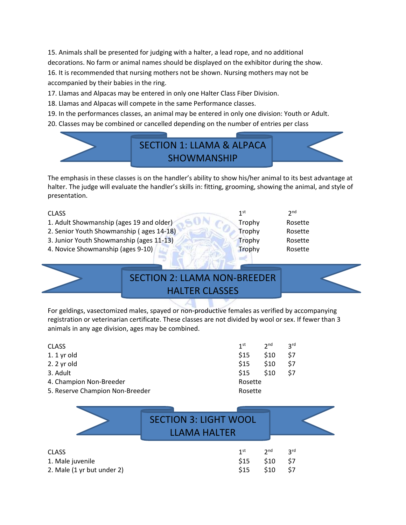15. Animals shall be presented for judging with a halter, a lead rope, and no additional decorations. No farm or animal names should be displayed on the exhibitor during the show. 16. It is recommended that nursing mothers not be shown. Nursing mothers may not be accompanied by their babies in the ring.

17. Llamas and Alpacas may be entered in only one Halter Class Fiber Division.

- 18. Llamas and Alpacas will compete in the same Performance classes.
- 19. In the performances classes, an animal may be entered in only one division: Youth or Adult.
- 20. Classes may be combined or cancelled depending on the number of entries per class



The emphasis in these classes is on the handler's ability to show his/her animal to its best advantage at halter. The judge will evaluate the handler's skills in: fitting, grooming, showing the animal, and style of presentation.

#### CLASS 1

- 1. Adult Showmanship (ages 19 and older) Trophy Rosette
- 2. Senior Youth Showmanship ( ages 14-18) Trophy Rosette
- 3. Junior Youth Showmanship (ages 11-13) Trophy Rosette
- 4. Novice Showmanship (ages 9-10) Trophy Rosette

 $\mathsf{R}$  2

 $2<sup>nd</sup>$ 

# SECTION 2: LLAMA NON-BREEDER HALTER CLASSES

For geldings, vasectomized males, spayed or non-productive females as verified by accompanying registration or veterinarian certificate. These classes are not divided by wool or sex. If fewer than 3 animals in any age division, ages may be combined.

| <b>CLASS</b>                    | 1 <sup>st</sup> | 2 <sub>nd</sub> | <b>2rd</b> |
|---------------------------------|-----------------|-----------------|------------|
| $1.1$ yr old                    | \$15            | \$10            | \$7        |
| 2. 2 yr old                     | \$15            | \$10            | \$7        |
| 3. Adult                        | \$15            | \$10            | \$7        |
| 4. Champion Non-Breeder         | Rosette         |                 |            |
| 5. Reserve Champion Non-Breeder | Rosette         |                 |            |
|                                 |                 |                 |            |

|                  | <b>SECTION 3: LIGHT WOOL</b><br><b>LLAMA HALTER</b> |              |                 |     |  |
|------------------|-----------------------------------------------------|--------------|-----------------|-----|--|
| CLASS            |                                                     | $1^{\rm st}$ | 2 <sup>nd</sup> | 3rd |  |
| 1. Male juvenile |                                                     | \$15         | \$10            | \$7 |  |

2. Male (1 yr but under 2)  $$15$  \$10 \$7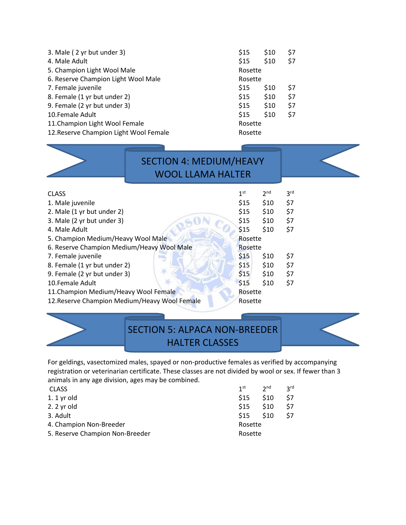| 3. Male (2 yr but under 3)             | \$15    | \$10 | \$7 |
|----------------------------------------|---------|------|-----|
| 4. Male Adult                          | \$15    | \$10 | \$7 |
| 5. Champion Light Wool Male            | Rosette |      |     |
| 6. Reserve Champion Light Wool Male    | Rosette |      |     |
| 7. Female juvenile                     | \$15    | \$10 | \$7 |
| 8. Female (1 yr but under 2)           | \$15    | \$10 | \$7 |
| 9. Female (2 yr but under 3)           | \$15    | \$10 | \$7 |
| 10. Female Adult                       | \$15    | \$10 | \$7 |
| 11. Champion Light Wool Female         | Rosette |      |     |
| 12. Reserve Champion Light Wool Female | Rosette |      |     |
|                                        |         |      |     |

| 1 <sup>st</sup><br>2 <sup>nd</sup><br>\$15<br>\$10<br>\$15<br>\$10<br>\$15<br>\$10<br>\$15<br>\$10<br>Rosette<br>Rosette<br>\$15<br>\$10<br>\$10<br>\$15<br>\$15<br>\$10<br>\$15<br>\$10<br>Rosette<br>12. Reserve Champion Medium/Heavy Wool Female<br>Rosette                                                                     |              | <b>SECTION 4: MEDIUM/HEAVY</b><br><b>WOOL LLAMA HALTER</b> |  |                 |
|-------------------------------------------------------------------------------------------------------------------------------------------------------------------------------------------------------------------------------------------------------------------------------------------------------------------------------------|--------------|------------------------------------------------------------|--|-----------------|
| 1. Male juvenile<br>2. Male (1 yr but under 2)<br>3. Male (2 yr but under 3)<br>4. Male Adult<br>5. Champion Medium/Heavy Wool Male<br>6. Reserve Champion Medium/Heavy Wool Male<br>7. Female juvenile<br>8. Female (1 yr but under 2)<br>9. Female (2 yr but under 3)<br>10.Female Adult<br>11. Champion Medium/Heavy Wool Female | <b>CLASS</b> |                                                            |  | 3 <sup>rd</sup> |
|                                                                                                                                                                                                                                                                                                                                     |              |                                                            |  | \$7             |
|                                                                                                                                                                                                                                                                                                                                     |              |                                                            |  | \$7             |
|                                                                                                                                                                                                                                                                                                                                     |              |                                                            |  | \$7             |
|                                                                                                                                                                                                                                                                                                                                     |              |                                                            |  | \$7             |
|                                                                                                                                                                                                                                                                                                                                     |              |                                                            |  |                 |
|                                                                                                                                                                                                                                                                                                                                     |              |                                                            |  |                 |
|                                                                                                                                                                                                                                                                                                                                     |              |                                                            |  | \$7             |
|                                                                                                                                                                                                                                                                                                                                     |              |                                                            |  | \$7             |
|                                                                                                                                                                                                                                                                                                                                     |              |                                                            |  | \$7             |
|                                                                                                                                                                                                                                                                                                                                     |              |                                                            |  | \$7             |
|                                                                                                                                                                                                                                                                                                                                     |              |                                                            |  |                 |
|                                                                                                                                                                                                                                                                                                                                     |              |                                                            |  |                 |

### SECTION 5: ALPACA NON-BREEDER HALTER CLASSES

For geldings, vasectomized males, spayed or non-productive females as verified by accompanying registration or veterinarian certificate. These classes are not divided by wool or sex. If fewer than 3 animals in any age division, ages may be combined.

| <b>CLASS</b>                    | 1 <sup>st</sup> | 2 <sub>nd</sub> | <b>2rd</b> |
|---------------------------------|-----------------|-----------------|------------|
| 1. $1$ yr old                   | <b>S15</b>      | <b>S10</b>      | \$7        |
| 2. 2 yr old                     | \$15            | \$10            | \$7        |
| 3. Adult                        | \$15            | \$10            | \$7        |
| 4. Champion Non-Breeder         | Rosette         |                 |            |
| 5. Reserve Champion Non-Breeder | Rosette         |                 |            |
|                                 |                 |                 |            |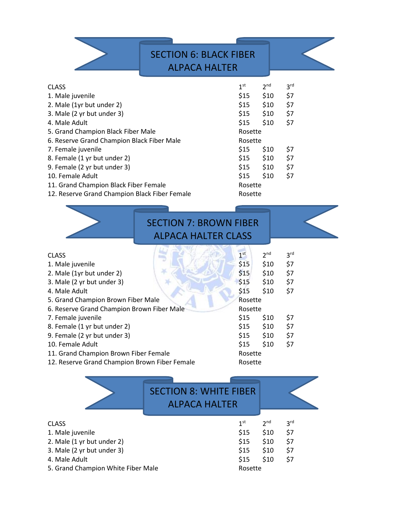|                                               | <b>SECTION 6: BLACK FIBER</b><br><b>ALPACA HALTER</b> |                 |                 |
|-----------------------------------------------|-------------------------------------------------------|-----------------|-----------------|
| <b>CLASS</b>                                  | 1 <sup>st</sup>                                       | 2 <sup>nd</sup> | 3 <sup>rd</sup> |
| 1. Male juvenile                              | \$15                                                  | \$10            | \$7             |
| 2. Male (1yr but under 2)                     | \$15                                                  | \$10            | \$7             |
| 3. Male (2 yr but under 3)                    | \$15                                                  | \$10            | \$7             |
| 4. Male Adult                                 | \$15                                                  | \$10            | \$7             |
| 5. Grand Champion Black Fiber Male            | Rosette                                               |                 |                 |
| 6. Reserve Grand Champion Black Fiber Male    | Rosette                                               |                 |                 |
| 7. Female juvenile                            | \$15                                                  | \$10            | \$7             |
| 8. Female (1 yr but under 2)                  |                                                       | $$15$ $$10$     | \$7             |
| 9. Female (2 yr but under 3)                  | \$15                                                  | \$10            | \$7             |
| 10. Female Adult                              | \$15                                                  | \$10            | \$7             |
| 11. Grand Champion Black Fiber Female         | Rosette                                               |                 |                 |
| 12. Reserve Grand Champion Black Fiber Female | Rosette                                               |                 |                 |



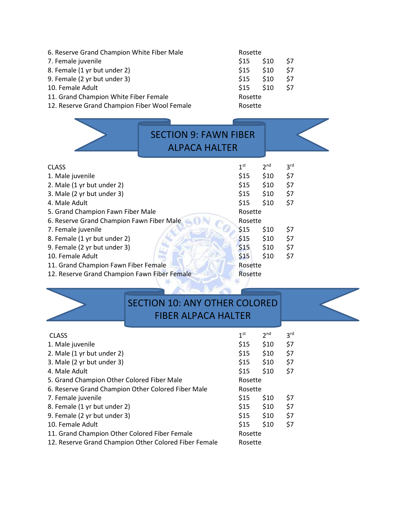| 6. Reserve Grand Champion White Fiber Male   | Rosette    |            |     |
|----------------------------------------------|------------|------------|-----|
| 7. Female juvenile                           | <b>S15</b> | <b>S10</b> | \$7 |
| 8. Female (1 yr but under 2)                 | \$15       | \$10       | \$7 |
| 9. Female (2 yr but under 3)                 | \$15       | \$10       | \$7 |
| 10. Female Adult                             | <b>S15</b> | \$10       | \$7 |
| 11. Grand Champion White Fiber Female        | Rosette    |            |     |
| 12. Reserve Grand Champion Fiber Wool Female | Rosette    |            |     |

|                                              | <b>SECTION 9: FAWN FIBER</b><br><b>ALPACA HALTER</b> |                 |                 |                 |
|----------------------------------------------|------------------------------------------------------|-----------------|-----------------|-----------------|
| <b>CLASS</b>                                 |                                                      | 1 <sup>st</sup> | 2 <sup>nd</sup> | 3 <sup>rd</sup> |
| 1. Male juvenile                             |                                                      | \$15            | \$10            | \$7             |
| 2. Male (1 yr but under 2)                   |                                                      | \$15            | \$10            | \$7             |
| 3. Male (2 yr but under 3)                   |                                                      | \$15            | \$10            | \$7             |
| 4. Male Adult                                |                                                      | \$15            | \$10            | \$7             |
| 5. Grand Champion Fawn Fiber Male            |                                                      | Rosette         |                 |                 |
| 6. Reserve Grand Champion Fawn Fiber Male    |                                                      | Rosette         |                 |                 |
| 7. Female juvenile                           |                                                      | \$15            | \$10            | \$7             |
| 8. Female (1 yr but under 2)                 |                                                      | \$15            | \$10            | \$7             |
| 9. Female (2 yr but under 3)                 |                                                      | \$15            | \$10            | \$7             |
| 10. Female Adult                             |                                                      | \$15            | \$10            | \$7             |
| 11. Grand Champion Fawn Fiber Female         |                                                      | Rosette         |                 |                 |
| 12. Reserve Grand Champion Fawn Fiber Female |                                                      | Rosette         |                 |                 |
|                                              |                                                      |                 |                 |                 |

# SECTION 10: ANY OTHER COLORED

| <b>FIBER ALPACA HALTER</b> |
|----------------------------|
|----------------------------|

| <b>CLASS</b>                                          | 1 <sup>st</sup> | 2 <sub>nd</sub> | 3 <sup>rd</sup> |
|-------------------------------------------------------|-----------------|-----------------|-----------------|
| 1. Male juvenile                                      | \$15            | \$10            | \$7             |
| 2. Male (1 yr but under 2)                            | \$15            | \$10            | \$7             |
| 3. Male (2 yr but under 3)                            | \$15            | \$10            | \$7             |
| 4. Male Adult                                         | \$15            | \$10            | \$7             |
| 5. Grand Champion Other Colored Fiber Male            | Rosette         |                 |                 |
| 6. Reserve Grand Champion Other Colored Fiber Male    | Rosette         |                 |                 |
| 7. Female juvenile                                    | \$15            | \$10            | \$7             |
| 8. Female (1 yr but under 2)                          | \$15            | \$10            | \$7             |
| 9. Female (2 yr but under 3)                          | \$15            | \$10            | \$7             |
| 10. Female Adult                                      | \$15            | \$10            | \$7             |
| 11. Grand Champion Other Colored Fiber Female         | Rosette         |                 |                 |
| 12. Reserve Grand Champion Other Colored Fiber Female | Rosette         |                 |                 |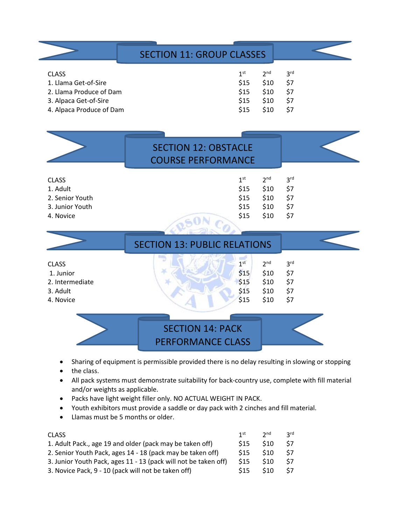|                                                                                                                      | <b>SECTION 11: GROUP CLASSES</b>                         |                                                 |                                             |
|----------------------------------------------------------------------------------------------------------------------|----------------------------------------------------------|-------------------------------------------------|---------------------------------------------|
| <b>CLASS</b><br>1. Llama Get-of-Sire<br>2. Llama Produce of Dam<br>3. Alpaca Get-of-Sire<br>4. Alpaca Produce of Dam | 1 <sup>st</sup><br>\$15<br>\$15<br>\$15<br>\$15          | 2 <sup>nd</sup><br>\$10<br>\$10<br>\$10<br>\$10 | 3 <sup>rd</sup><br>\$7<br>\$7<br>\$7<br>\$7 |
|                                                                                                                      | <b>SECTION 12: OBSTACLE</b><br><b>COURSE PERFORMANCE</b> |                                                 |                                             |
| <b>CLASS</b>                                                                                                         | 1 <sup>st</sup>                                          | 2 <sub>nd</sub>                                 | 3 <sup>rd</sup>                             |

| 1. Adult        |     | $$15$ $$10$ | - S7  |
|-----------------|-----|-------------|-------|
| 2. Senior Youth |     | \$15 \$10   | - \$7 |
| 3. Junior Youth |     | $$15$ $$10$ | - \$7 |
| 4. Novice       | S15 | S10         | - S7  |

|                 | <b>SECTION 13: PUBLIC RELATIONS</b>                   |  |
|-----------------|-------------------------------------------------------|--|
| <b>CLASS</b>    | 1 <sup>st</sup><br>2 <sub>nd</sub><br>3 <sup>rd</sup> |  |
| 1. Junior       | \$15<br>\$7<br>\$10                                   |  |
| 2. Intermediate | \$15<br>\$10<br>\$7                                   |  |
| 3. Adult        | \$15<br>\$10<br>\$7                                   |  |
| 4. Novice       | \$15<br>\$10<br>\$7                                   |  |
|                 |                                                       |  |



- Sharing of equipment is permissible provided there is no delay resulting in slowing or stopping
- the class.
- All pack systems must demonstrate suitability for back-country use, complete with fill material and/or weights as applicable.
- Packs have light weight filler only. NO ACTUAL WEIGHT IN PACK.
- Youth exhibitors must provide a saddle or day pack with 2 cinches and fill material.
- Llamas must be 5 months or older.

| <b>CLASS</b>                                                    | 1 <sup>st</sup> | $2^{\text{nd}}$ | <b>2rd</b> |
|-----------------------------------------------------------------|-----------------|-----------------|------------|
| 1. Adult Pack., age 19 and older (pack may be taken off)        | S <sub>15</sub> | \$10            | S7         |
| 2. Senior Youth Pack, ages 14 - 18 (pack may be taken off)      | <b>S15</b>      | \$10            | <b>S7</b>  |
| 3. Junior Youth Pack, ages 11 - 13 (pack will not be taken off) | \$15            | \$10            | \$7        |
| 3. Novice Pack, 9 - 10 (pack will not be taken off)             | \$15            | \$10            | \$7        |